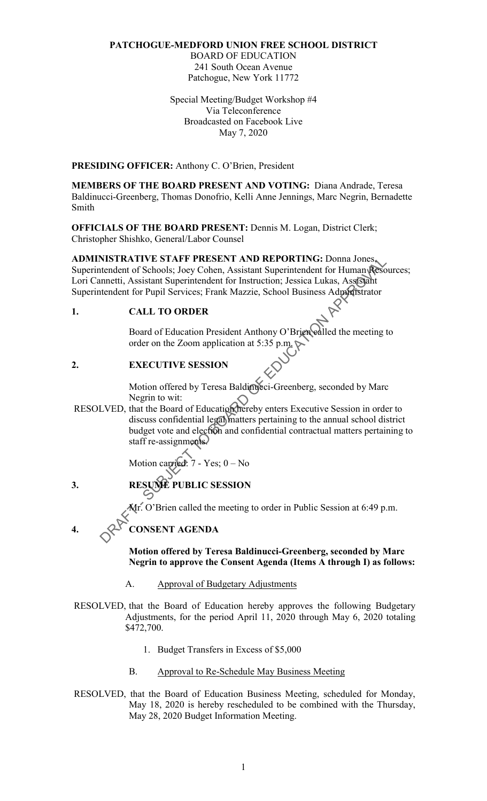#### PATCHOGUE-MEDFORD UNION FREE SCHOOL DISTRICT

BOARD OF EDUCATION 241 South Ocean Avenue Patchogue, New York 11772

Special Meeting/Budget Workshop #4 Via Teleconference Broadcasted on Facebook Live May 7, 2020

PRESIDING OFFICER: Anthony C. O'Brien, President

MEMBERS OF THE BOARD PRESENT AND VOTING: Diana Andrade, Teresa Baldinucci-Greenberg, Thomas Donofrio, Kelli Anne Jennings, Marc Negrin, Bernadette Smith

 OFFICIALS OF THE BOARD PRESENT: Dennis M. Logan, District Clerk; Christopher Shishko, General/Labor Counsel

 ADMINISTRATIVE STAFF PRESENT AND REPORTING: Donna Jones, Lori Cannetti, Assistant Superintendent for Instruction; Jessica Lukas, Assistant Superintendent for Pupil Services; Frank Mazzie, School Business Administrator Superintendent of Schools; Joey Cohen, Assistant Superintendent for Human Resources;

## 1. CALL TO ORDER

 $\overline{a}$ Board of Education President Anthony O'Brien ealled the meeting to order on the Zoom application at 5:35 p.m.

# 2. EXECUTIVE SESSION

Motion offered by Teresa Baldinucci-Greenberg, seconded by Marc Negrin to wit:

RESOLVED, that the Board of Education thereby enters Executive Session in order to discuss confidential legal matters pertaining to the annual school district budget vote and election and confidential contractual matters pertaining to staff re-assignments. NISTRATIVE STAFF PRESENT AND REPORTING: Donna Jones<br>
tendent of Schools, Jose Cohen, Assistant Superintendent for Instruction; Jessica Lukas, Assissimit<br>
tendent for Pupil Services; Frank Mazzie, School Business Adoptistra

Motion carried: 7 - Yes; 0 – No

3. RESUME PUBLIC SESSION

Mr. O'Brien called the meeting to order in Public Session at 6:49 p.m.

4.  $Q^{\mathcal{S}}$  CONSENT AGENDA

Motion offered by Teresa Baldinucci-Greenberg, seconded by Marc Negrin to approve the Consent Agenda (Items A through I) as follows:

A. Approval of Budgetary Adjustments

 RESOLVED, that the Board of Education hereby approves the following Budgetary Adjustments, for the period April 11, 2020 through May 6, 2020 totaling \$472,700.

- 1. Budget Transfers in Excess of \$5,000
- B. Approval to Re-Schedule May Business Meeting
- RESOLVED, that the Board of Education Business Meeting, scheduled for Monday, May 18, 2020 is hereby rescheduled to be combined with the Thursday, May 28, 2020 Budget Information Meeting.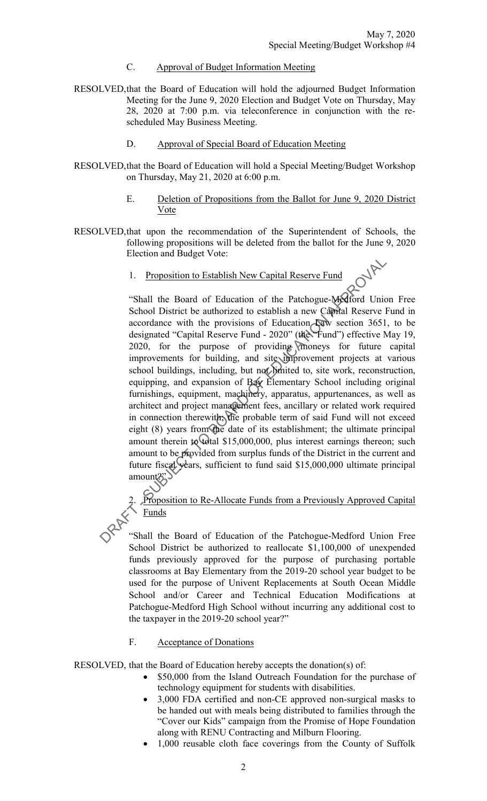- C. Approval of Budget Information Meeting
- RESOLVED,that the Board of Education will hold the adjourned Budget Information Meeting for the June 9, 2020 Election and Budget Vote on Thursday, May 28, 2020 at 7:00 p.m. via teleconference in conjunction with the rescheduled May Business Meeting.
	- D. Approval of Special Board of Education Meeting
- RESOLVED,that the Board of Education will hold a Special Meeting/Budget Workshop on Thursday, May 21, 2020 at 6:00 p.m.
	- E. Deletion of Propositions from the Ballot for June 9, 2020 District Vote
- RESOLVED,that upon the recommendation of the Superintendent of Schools, the following propositions will be deleted from the ballot for the June 9, 2020 Election and Budget Vote:
	- 1. Proposition to Establish New Capital Reserve Fund

 "Shall the Board of Education of the Patchogue-Medford Union Free School District be authorized to establish a new Capital Reserve Fund in accordance with the provisions of Education Law section 3651, to be designated "Capital Reserve Fund - 2020" (the "Fund") effective May 19, 2020, for the purpose of providing moneys for future capital improvements for building, and site improvement projects at various school buildings, including, but not limited to, site work, reconstruction, equipping, and expansion of Bay Elementary School including original architect and project management fees, ancillary or related work required in connection therewith; the probable term of said Fund will not exceed eight (8) years from the date of its establishment; the ultimate principal amount to be provided from surplus funds of the District in the current and future fiscal years, sufficient to fund said \$15,000,000 ultimate principal 1. Proposition to Establish New Capital Reserve Fund<br>
"Shall the Board of Education of the Patchogue-Moderal Unio<br>
School District be authorized to establish a new Capital Reserve F<br>
accordance with the provisions of Educ furnishings, equipment, machinery, apparatus, appurtenances, as well as amount therein to total \$15,000,000, plus interest earnings thereon; such amount?"

2. Proposition to Re-Allocate Funds from a Previously Approved Capital Funds

 "Shall the Board of Education of the Patchogue-Medford Union Free School District be authorized to reallocate \$1,100,000 of unexpended funds previously approved for the purpose of purchasing portable classrooms at Bay Elementary from the 2019-20 school year budget to be used for the purpose of Univent Replacements at South Ocean Middle Patchogue-Medford High School without incurring any additional cost to the taxpayer in the 2019-20 school year?" School and/or Career and Technical Education Modifications at

#### F. Acceptance of Donations

RESOLVED, that the Board of Education hereby accepts the donation(s) of:

- \$50,000 from the Island Outreach Foundation for the purchase of technology equipment for students with disabilities.
- 3,000 FDA certified and non-CE approved non-surgical masks to be handed out with meals being distributed to families through the "Cover our Kids" campaign from the Promise of Hope Foundation along with RENU Contracting and Milburn Flooring.
- 1,000 reusable cloth face coverings from the County of Suffolk